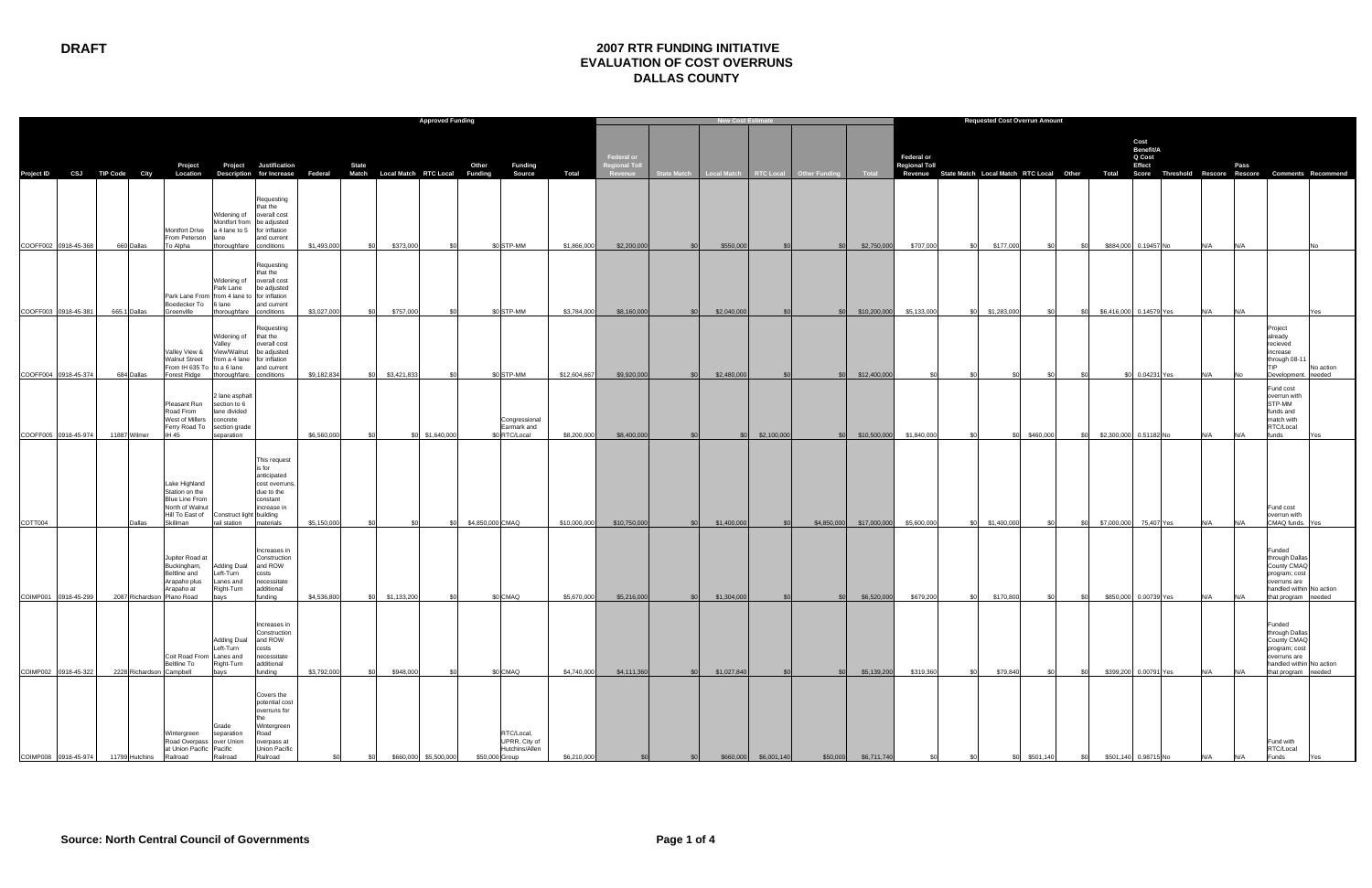## **DRAFT 2007 RTR FUNDING INITIATIVE EVALUATION OF COST OVERRUNS DALLAS COUNTY**

|                                 |                                      |                                                                                                | <b>Approved Funding</b>                                                            |                                                                                                                   |                            |              |                 |                 |                                                                 |                             |                                               |                         | <b>Requested Cost Overrun Amount</b> |                   |                                                       |                             |                             |                                                                                                          |               |            |        |                                                 |     |      |                                                                                                                                           |                     |
|---------------------------------|--------------------------------------|------------------------------------------------------------------------------------------------|------------------------------------------------------------------------------------|-------------------------------------------------------------------------------------------------------------------|----------------------------|--------------|-----------------|-----------------|-----------------------------------------------------------------|-----------------------------|-----------------------------------------------|-------------------------|--------------------------------------|-------------------|-------------------------------------------------------|-----------------------------|-----------------------------|----------------------------------------------------------------------------------------------------------|---------------|------------|--------|-------------------------------------------------|-----|------|-------------------------------------------------------------------------------------------------------------------------------------------|---------------------|
| Project ID CSJ TIP Code City    |                                      | Project                                                                                        |                                                                                    | <b>Project</b> Justification<br>Location Description for Increase Federal Match Local Match RTC Local Funding     |                            | <b>State</b> |                 |                 | Funding<br>Other<br><b>Source</b>                               | <b>Total</b>                | Federal or<br><b>Regional Toll</b><br>Revenue |                         |                                      |                   | State Match   Local Match   RTC Local   Other Funding | Total                       | Federal or<br>Regional Toll | Revenue State Match Local Match RTC Local Other Total Score Threshold Rescore Rescore Comments Recommend |               |            |        | Cost<br>Benefit/A<br>Q Cost<br>Effect           |     | Pass |                                                                                                                                           |                     |
| COOFF002 0918-45-368            | 660 Dallas                           | <b>Montfort Drive</b><br>From Peterson<br>To Alpha                                             | Widening of<br>a 4 lane to 5<br>llane<br>thoroughfare                              | Requesting<br>hat the<br>overall cost<br>Montfort from be adjusted<br>for inflation<br>and current<br>conditions  | \$1,493,000                | \$0          | \$373,000       | \$O             | \$0 STP-MM                                                      | \$1,866,000                 | \$2,200,000                                   | \$0                     | \$550,000                            |                   | SOI                                                   | \$2,750,000                 | \$707,000                   | \$177,000<br>\$0                                                                                         | .ፍስ           | SO.        |        | \$884,000 0.19457 No                            | N/A | N/A  |                                                                                                                                           |                     |
| COOFF003 0918-45-381            | 665.1 Dallas                         | Park Lane From from 4 lane to for inflation<br>Boedecker To<br>Greenville                      | Widening of<br>Park Lane<br>6 lane                                                 | Requesting<br>that the<br>overall cost<br>be adjusted<br>and current<br>thoroughfare conditions                   | \$3,027,000                | \$0          | \$757,000       | \$0             | \$0 STP-MM                                                      | \$3,784,000                 | \$8,160,000                                   | \$0                     | \$2,040,000                          |                   | SOI                                                   | \$10,200,000                | \$5,133,000                 | \$0 \$1,283,000                                                                                          |               | <b>SO</b>  |        | \$6,416,000 0.14579 Yes                         | N/A | N/A  |                                                                                                                                           |                     |
| COOFF004 0918-45-374            | 684 Dallas                           | Valley View &<br><b>Walnut Street</b><br>From IH 635 To to a 6 lane<br>Forest Ridge            | Widening of<br>/alley<br>View/Walnut<br>from a 4 lane                              | Requesting<br>that the<br>overall cost<br>be adjusted<br>for inflation<br>and current<br>thoroughfare. conditions | \$9,182,834                |              | \$0 \$3,421,833 | \$0             | \$0 STP-MM                                                      | \$12,604,667                | \$9,920,000                                   | SO <sub>1</sub>         | \$2,480,000                          |                   | SO <sub>1</sub>                                       | \$12,400,000                |                             | .SC                                                                                                      |               |            | ድር     | 0.04231 Yes                                     |     |      | Project<br>already<br>recieved<br>increase<br>through 08-1<br><b>TIP</b><br>Development.                                                  | No action<br>needed |
| COOFF005 0918-45-974            | 11887 Wilmer                         | Pleasant Run<br>Road From<br>West of Millers<br>Ferry Road To section grade<br>IH 45           | 2 lane asphalt<br>section to 6<br>lane divided<br>concrete<br>separation           |                                                                                                                   | \$6,560,000                | - \$0        |                 | \$0 \$1,640,000 | Congressional<br>Earmark and<br>\$0 RTC/Local                   | \$8,200,000                 | \$8,400,000                                   | \$0                     |                                      | $$0$ $$2,100,000$ | SO <sub>2</sub>                                       | \$10,500,000                | \$1,840,000                 | - \$0                                                                                                    | \$0 \$460,000 | SO.        |        | \$2,300,000 0.51182 No                          |     |      | Fund cost<br>overrun with<br>STP-MM<br>funds and<br>match with<br>RTC/Local<br>funds                                                      |                     |
|                                 |                                      | Lake Highland<br>Station on the<br><b>Blue Line From</b><br>North of Walnut<br>Hill To East of | Construct light building                                                           | This request<br>is for<br>anticipated<br>cost overruns<br>due to the<br>constant<br>increase in                   |                            |              |                 |                 |                                                                 |                             |                                               |                         |                                      |                   |                                                       |                             |                             |                                                                                                          |               |            |        |                                                 |     |      | Fund cost<br>overrun with                                                                                                                 |                     |
| COTT004<br>COIMP001 0918-45-299 | Dallas<br>2087 Richardson Plano Road | Skillman<br>Jupiter Road at<br>Buckingham,<br>Beltline and<br>Arapaho plus<br>Arapaho at       | rail station<br><b>Adding Dual</b><br>Left-Turn<br>Lanes and<br>Right-Turn<br>bays | materials<br>Increases in<br>Construction<br>and ROW<br>costs<br>necessitate<br>additional<br>fundina             | \$5,150,000<br>\$4,536,800 | - \$0<br>\$0 | \$1,133,200     | \$0<br>\$O      | \$4,850,000 CMAQ<br>\$0 CMAQ                                    | \$10,000,000<br>\$5,670,000 | \$10,750,000<br>\$5,216,000                   | \$0<br>\$0 <sub>1</sub> | \$1,400,000<br>\$1,304,000           | <b>SO</b>         | \$4,850,000<br>.\$0                                   | \$17,000,000<br>\$6,520,000 | \$5,600,000<br>\$679,200    | \$1,400,000<br>\$0<br>\$170,800<br>\$0                                                                   | \$O<br>.ፍስ    | \$0<br>SO. |        | \$7,000,000 75,407 Yes<br>\$850,000 0.00739 Yes | N/A | N/A  | CMAQ funds.<br>Funded<br>through Dalla<br>County CMAO<br>program; cost<br>overruns are<br>handled within No action<br>that program needed |                     |
| COIMP002 0918-45-322            | 2228 Richardson Campbell             | Coit Road From Lanes and<br><b>Beltline To</b>                                                 | <b>Adding Dual</b><br>Left-Turn<br>Right-Turn<br>bays                              | Increases in<br>Construction<br>and ROW<br>costs<br>necessitate<br>additional<br>funding                          | \$3,792,000                | \$0          | \$948,000       | ፍር              | \$0 CMAQ                                                        | \$4,740,000                 | \$4,111,360                                   | SO <sub>1</sub>         | \$1,027,840                          |                   | SOI                                                   | \$5,139,200                 | \$319,360                   | \$79,840<br>SO I                                                                                         |               | .\$በ       |        | \$399,200 0.00791 Yes                           | N/A | N/A  | Funded<br>through Dallas<br>County CMAC<br>program; cost<br>overruns are<br>handled within No action<br>that program                      | needed              |
| COIMP008 0918-45-974            | 11799 Hutchins                       | Wintergreen<br>Road Overpass over Union<br>at Union Pacific Pacific<br>Railroad                | Grade<br>separation<br>Railroad                                                    | Covers the<br>potential cost<br>overruns for<br>Wintergreen<br>Road<br>overpass at<br>Union Pacific<br>Railroad   |                            |              | \$660,000       | \$5,500,000     | RTC/Local,<br>UPRR, City of<br>Hutchins/Allen<br>\$50,000 Group | \$6,210,000                 |                                               |                         | \$660,000                            | \$6,001,140       | \$50,000                                              | \$6,711,740                 |                             |                                                                                                          | \$501,14      |            | \$501, |                                                 |     |      | Fund with<br>RTC/Local<br>Funds                                                                                                           |                     |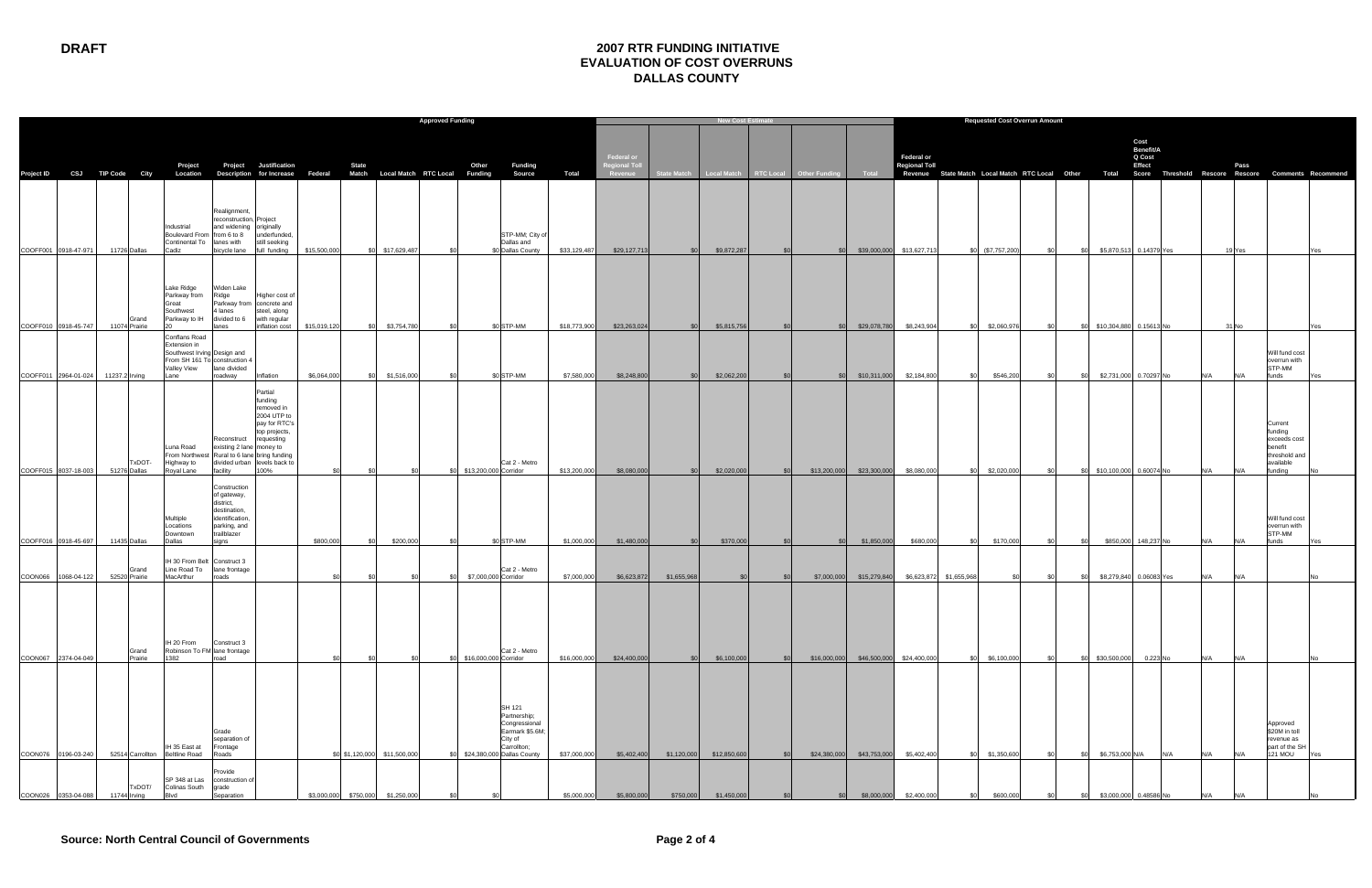|                                                                                                            |                                |                                                                                                                      |                                                                                                                     | <b>Approved Funding</b>                                                                                                   |              |                       |                              |       |                       |                                                                                                                    |              |                                              | <b>New Cost Estim</b> |              |            |                                                 |                                        |                                           |                         | <b>Requested Cost Overrun Amount</b> |              |                             |                                       |     |       |                                                                                                                  |     |  |  |
|------------------------------------------------------------------------------------------------------------|--------------------------------|----------------------------------------------------------------------------------------------------------------------|---------------------------------------------------------------------------------------------------------------------|---------------------------------------------------------------------------------------------------------------------------|--------------|-----------------------|------------------------------|-------|-----------------------|--------------------------------------------------------------------------------------------------------------------|--------------|----------------------------------------------|-----------------------|--------------|------------|-------------------------------------------------|----------------------------------------|-------------------------------------------|-------------------------|--------------------------------------|--------------|-----------------------------|---------------------------------------|-----|-------|------------------------------------------------------------------------------------------------------------------|-----|--|--|
| Project ID CSJ TIP Code City Location Description for Increase Federal Match Local Match RTC Local Funding |                                | Project                                                                                                              |                                                                                                                     | <b>Project</b> Justification                                                                                              |              | <b>State</b>          |                              |       | Other                 | Funding<br><b>Source</b>                                                                                           | <b>Total</b> | Federal or<br><b>Regional Tol</b><br>Revenue |                       |              |            | State Match Local Match RTC Local Other Funding | Total                                  | <b>Federal or</b><br><b>Regional Toll</b> |                         |                                      |              |                             | Cost<br>Benefit/A<br>Q Cost<br>Effect |     |       | Pass<br>Revenue State Match Local Match RTC Local Other Total Score Threshold Rescore Rescore Comments Recommend |     |  |  |
| COOFF001 0918-47-971                                                                                       | 11726 Dallas                   | Industrial<br>Boulevard From from 6 to 8<br>Continental To lanes with<br>Cadiz                                       | Realignment,<br>reconstruction, Project<br>and widening originally<br>bicycle lane                                  | underfunded,<br>still seeking<br>full funding                                                                             | \$15,500,000 |                       | \$0 \$17,629,487             |       |                       | STP-MM; City of<br>Dallas and<br>\$0 Dallas County                                                                 | \$33,129,487 | \$29,127,713                                 | \$0                   | \$9,872,287  | \$0        | \$0                                             |                                        | \$39,000,000 \$13,627,713                 |                         | $$0$ (\$7,757,200)                   | \$0<br>\$0   | \$5,870,513 0.14379 Yes     |                                       |     |       | 19 Yes                                                                                                           | Yes |  |  |
| COOFF010 0918-45-747                                                                                       | Grand<br>11074 Prairie         | Lake Ridge<br>Parkway from<br>Great<br>Southwest<br>Parkway to IH                                                    | Widen Lake<br>Ridge<br>4 lanes<br>divided to 6 with regular<br>lanes                                                | Higher cost of<br>Parkway from concrete and<br>steel, along<br>inflation cost                                             | \$15,019,120 |                       | \$0 \$3,754,780              | \$0   |                       | \$0 STP-MM                                                                                                         | \$18,773,900 | \$23,263,024                                 | \$0                   | \$5,815,756  |            | SO <sub>2</sub>                                 | \$29,078,780                           | \$8,243,904                               |                         | \$0 \$2,060,976                      | \$0          | \$0 \$10,304,880 0.15613 No |                                       |     | 31 No |                                                                                                                  |     |  |  |
| COOFF011 2964-01-024                                                                                       | 11237.2 Irving                 | Conflans Road<br>Extension in<br>Southwest Irving Design and<br>From SH 161 To construction 4<br>Valley View<br>Lane | lane divided<br>roadway                                                                                             | Inflation                                                                                                                 | \$6,064,000  |                       | \$0 \$1,516,000              | \$0   |                       | \$0 STP-MM                                                                                                         | \$7,580,000  | \$8,248,800                                  | \$0                   | \$2,062,200  |            | SO <sub>2</sub>                                 | \$10,311,000                           | \$2,184,800                               | SOI.                    | \$546,200                            | \$0          | \$0 \$2,731,000 0.70297 No  |                                       |     | N/A   | Will fund cost<br>overrun with<br>STP-MM<br>funds<br>N/A                                                         |     |  |  |
| COOFF015 8037-18-003                                                                                       | TxDOT-<br>51276 Dallas         | Luna Road<br>Highway to<br>Royal Lane                                                                                | Reconstruct requesting<br>existing 2 lane money to<br>From Northwest Rural to 6 lane bring funding<br>facility      | Partial<br>funding<br>removed in<br>2004 UTP to<br>pay for RTC's<br>top projects,<br>divided urban levels back to<br>100% | - \$0        |                       |                              | - \$0 | \$13,200,000 Corridor | Cat 2 - Metro                                                                                                      | \$13,200,000 | \$8,080,000                                  | \$0                   | \$2,020,000  | \$0        |                                                 | \$13,200,000 \$23,300,000              | \$8,080,000                               | \$0                     | \$2,020,000                          | \$0          | \$0 \$10,100,000 0.60074 No |                                       |     |       | Current<br>funding<br>exceeds cost<br>benefit<br>threshold and<br>available<br>funding<br>N/A                    |     |  |  |
| COOFF016 0918-45-697                                                                                       | 11435 Dallas                   | Multiple<br>Locations<br>Downtown<br>Dallas                                                                          | Construction<br>of gateway,<br>district,<br>destination,<br>identification,<br>parking, and<br>trailblazer<br>signs |                                                                                                                           | \$800,000    | \$0                   | \$200,000                    | - \$0 |                       | \$0 STP-MM                                                                                                         | \$1,000,000  | \$1,480,000                                  | \$0                   | \$370,000    |            | \$0                                             | \$1,850,000                            | \$680,000                                 |                         | \$170,000                            | \$0<br>\$0   | \$850,000 148,237 No        |                                       |     |       | Will fund cost<br>overrun with<br>STP-MM<br>funds<br>N/A                                                         |     |  |  |
| COON066 1068-04-122                                                                                        | Grand<br>52520 Prairie         | IH 30 From Belt Construct 3<br>Line Road To<br>MacArthur                                                             | lane frontage<br>roads                                                                                              |                                                                                                                           | \$0          |                       |                              |       | \$7,000,000 Corridor  | Cat 2 - Metro                                                                                                      | \$7,000,000  | \$6,623,872                                  | \$1,655,968           |              |            |                                                 | \$7,000,000 \$15,279,840               |                                           | \$6,623,872 \$1,655,968 | \$0                                  | - \$0<br>\$0 | \$8,279,840 0.06083 Yes     |                                       |     |       | N/A                                                                                                              |     |  |  |
| COON067 2374-04-049                                                                                        | Grand<br>Prairie               | IH 20 From<br>Robinson To FM lane frontage<br>1382                                                                   | Construct 3                                                                                                         |                                                                                                                           |              |                       |                              |       | \$16,000,000 Corridor | Cat 2 - Metro                                                                                                      | \$16,000,000 | \$24,400,000                                 | SOI                   | \$6,100,000  | <b>SOI</b> |                                                 | \$16,000,000 \$46,500,000 \$24,400,000 |                                           | ፍስ                      | \$6,100,000                          |              | \$0 \$30,500,000 0.223 No   |                                       |     |       | N/A                                                                                                              |     |  |  |
| COON076 0196-03-240                                                                                        | 52514 Carrollton Beltline Road | IH 35 East at                                                                                                        | Grade<br>separation of<br>Frontage<br>Roads                                                                         |                                                                                                                           |              |                       | \$0 \$1,120,000 \$11,500,000 | -90   |                       | SH 121<br>Partnership;<br>Congressional<br>Earmark \$5.6M;<br>City of<br>Carrollton;<br>\$24,380,000 Dallas County | \$37,000,000 | \$5,402,400                                  | \$1,120,000           | \$12,850,600 | <b>SOI</b> |                                                 | \$24,380,000 \$43,753,000              | \$5,402,400                               | SO.                     | \$1,350,600                          | \$0<br>\$0   | \$6,753,000 N/A             |                                       | N/A |       | Approved<br>\$20M in toll<br>revenue as<br>part of the SH<br><b>121 MOU</b>                                      | Yes |  |  |
| COON026 0353-04-088                                                                                        | TxDOT/<br>11744 Irving         | SP 348 at Las<br><b>Colinas South</b>                                                                                | Provide<br>construction of<br>grade<br>Separation                                                                   |                                                                                                                           |              | \$3,000,000 \$750,000 | \$1,250,000                  |       |                       |                                                                                                                    | \$5,000,000  | \$5,800,000                                  | \$750,000             | \$1,450,000  |            |                                                 | \$8,000,000                            | \$2,400,000                               |                         | \$600,000                            |              | \$3,000,000 0.48586 No      |                                       |     |       |                                                                                                                  |     |  |  |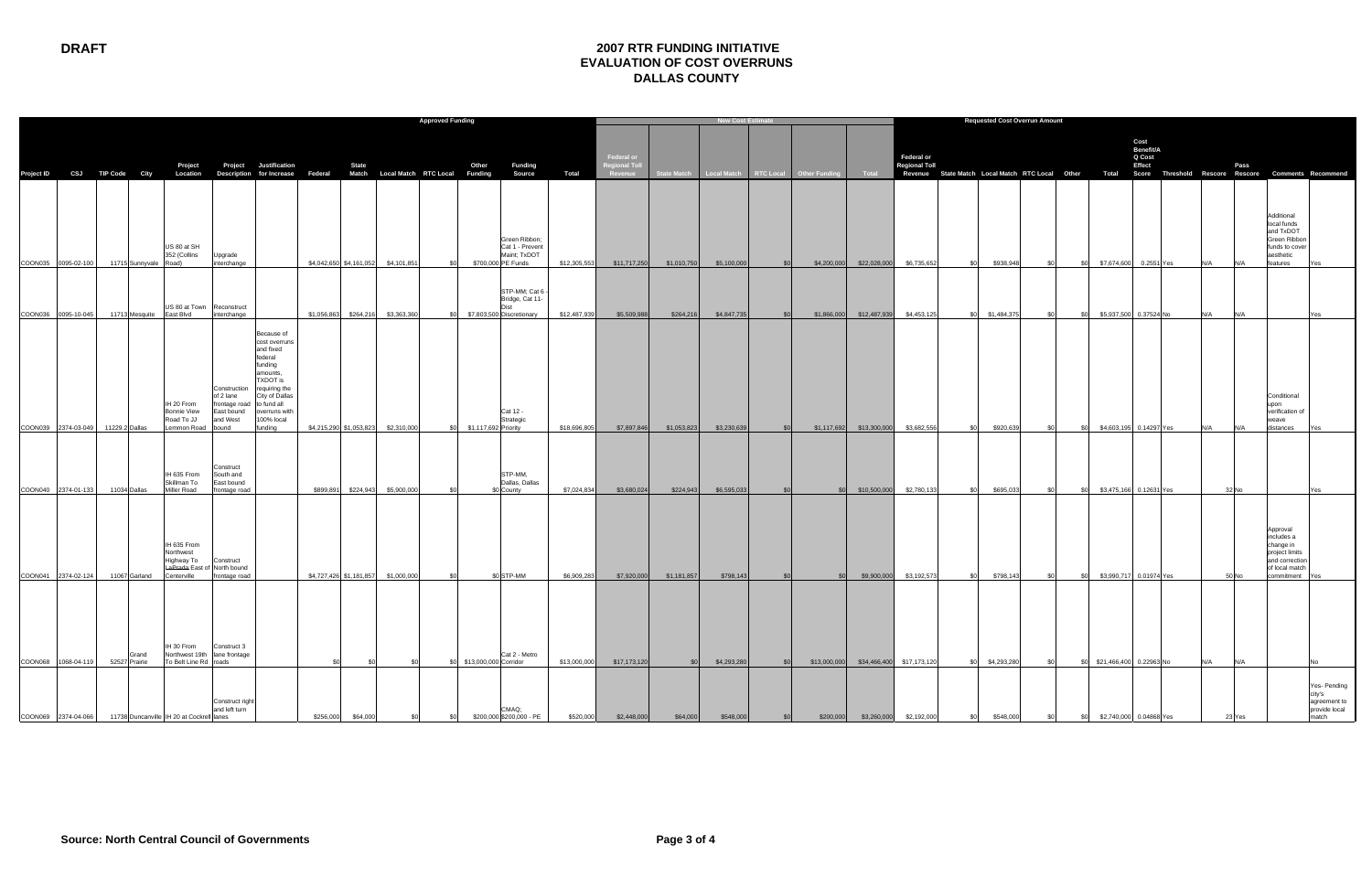## **DRAFT 2007 RTR FUNDING INITIATIVE EVALUATION OF COST OVERRUNS DALLAS COUNTY**

|                                            |                |                       |                                                                     |                                                                               |                                                                                                                                                                                    | <b>Approved Funding</b> |                         |             |                 |                           |                                                               |                           |                                              | <b>New Cost Estimat</b> |                          |            |                                                 |                                                       |                             |           | <b>Requested Cost Overrun Amount</b> |       |     |                                            |                                                                                                                                                   |     |       |                                                                                                         |                                                                  |
|--------------------------------------------|----------------|-----------------------|---------------------------------------------------------------------|-------------------------------------------------------------------------------|------------------------------------------------------------------------------------------------------------------------------------------------------------------------------------|-------------------------|-------------------------|-------------|-----------------|---------------------------|---------------------------------------------------------------|---------------------------|----------------------------------------------|-------------------------|--------------------------|------------|-------------------------------------------------|-------------------------------------------------------|-----------------------------|-----------|--------------------------------------|-------|-----|--------------------------------------------|---------------------------------------------------------------------------------------------------------------------------------------------------|-----|-------|---------------------------------------------------------------------------------------------------------|------------------------------------------------------------------|
| Project ID CSJ TIP Code City               |                |                       | Project                                                             | Project                                                                       | Justification<br>Location Description for Increase Federal Match Local Match RTC Local Funding                                                                                     |                         | <b>State</b>            |             |                 | Other                     | Funding<br>Source                                             | Total                     | Federal or<br><b>Regional Tol</b><br>Revenue |                         |                          |            | State Match Local Match RTC Local Other Funding | Total                                                 | Federal or<br>Regional Toll |           |                                      |       |     |                                            | Cost<br>Benefit/A<br>Q Cost<br>Effect<br>Revenue State Match Local Match RTC Local Other Total Score Threshold Rescore Rescore Comments Recommend |     | Pass  |                                                                                                         |                                                                  |
| COON035 0095-02-100                        |                | 11715 Sunnyvale Road) | US 80 at SH<br>352 (Collins                                         | Upgrade<br>interchange                                                        |                                                                                                                                                                                    |                         | \$4,042,650 \$4,161,052 | \$4,101,851 | \$0             | \$700,000 PE Funds        | Green Ribbon;<br>Cat 1 - Prevent<br>Maint; TxDOT              | \$12,305,553              | \$11,717,250                                 | \$1,010,750             | \$5,100,000              | - \$0      | \$4,200,000                                     | \$22,028,000                                          | \$6,735,652                 | <b>SO</b> | \$938,948                            | \$0   | \$0 |                                            | \$7,674,600 0.2551 Yes                                                                                                                            | N/A | N/A   | Additional<br>local funds<br>and TxDOT<br>Green Ribbor<br>funds to cove<br>aesthetic<br>features        |                                                                  |
| COON036 0095-10-045                        |                |                       | US 80 at Town Reconstruct<br>11713 Mesquite East Blvd               | interchange                                                                   |                                                                                                                                                                                    |                         | \$1,056,863 \$264,216   | \$3,363,360 | \$0             |                           | STP-MM; Cat 6<br>Bridge, Cat 11-<br>\$7,803,500 Discretionary | \$12,487,939              | \$5,509,988                                  | \$264,216               | \$4,847,735              |            |                                                 | \$1,866,000 \$12,487,939                              | \$4,453,125                 |           | \$0 \$1,484,375                      | \$0   | \$0 |                                            | \$5,937,500 0.37524 No                                                                                                                            | N/A | N/A   |                                                                                                         | res.                                                             |
| COON039 2374-03-049                        | 11229.2 Dallas |                       | IH 20 From<br>Bonnie View<br>Road To JJ<br>Lemmon Road              | Construction<br>of 2 lane<br>frontage road<br>East bound<br>and West<br>bound | Because of<br>cost overruns<br>and fixed<br>federal<br>funding<br>amounts,<br>TXDOT is<br>requiring the<br>City of Dallas<br>to fund all<br>overruns with<br>100% local<br>funding |                         | \$4,215,290 \$1,053,823 | \$2,310,000 | SO <sub>2</sub> | \$1,117,692 Priority      | Cat 12 -<br>Strategic                                         | \$18,696,805              | \$7,897,846                                  | \$1,053,823             | \$3,230,639              | <b>SOL</b> |                                                 | \$1,117,692 \$13,300,000                              | \$3,682,556                 | SO I      | \$920,639                            | sol.  | SO. |                                            | \$4,603.195 0.14297 Yes                                                                                                                           | N/A | N/A   | Conditional<br>upon<br>verification of<br>weave<br>distances                                            |                                                                  |
| COON040 2374-01-133                        | 11034 Dallas   |                       | IH 635 From<br>Skillman To<br>Miller Road                           | Construct<br>South and<br>East bound<br>frontage road                         |                                                                                                                                                                                    | \$899,891               | \$224,943               | \$5,900,000 |                 |                           | STP-MM,<br>Dallas, Dallas<br>\$0 County                       | \$7,024,834               | \$3,680,024                                  | \$224,943               | \$6,595,033              |            | \$0                                             | \$10,500,000                                          | \$2,780,133                 | ംട        | \$695,033                            | - \$0 | SO. |                                            | \$3,475,166 0.12631 Yes                                                                                                                           |     | 32 No |                                                                                                         |                                                                  |
| COON041 2374-02-124                        |                | 11067 Garland         | IH 635 From<br>Northwest<br>Highway To<br>Centerville               | Construct<br>LaPrada East of North bound<br>frontage road                     |                                                                                                                                                                                    |                         | \$4,727,426 \$1,181,857 | \$1,000,000 | \$0             |                           | \$0 STP-MM                                                    | \$6,909,283               | \$7,920,000                                  | \$1,181,857             | \$798,143                |            | \$0                                             | \$9,900,000                                           | \$3,192,573                 | <b>SO</b> | \$798,143                            | \$0   | \$0 |                                            | \$3,990,717 0.01974 Yes                                                                                                                           |     | 50 No | Approval<br>includes a<br>change in<br>project limits<br>and correction<br>of local match<br>commitment |                                                                  |
|                                            |                | Grand                 | IH 30 From                                                          | Construct 3<br>Northwest 19th lane frontage                                   |                                                                                                                                                                                    |                         |                         |             |                 |                           | Cat 2 - Metro                                                 |                           |                                              |                         |                          |            |                                                 |                                                       |                             |           |                                      |       |     |                                            |                                                                                                                                                   |     |       |                                                                                                         |                                                                  |
| COON068 1068-04-119<br>COON069 2374-04-066 | 52527 Prairie  |                       | To Belt Line Rd roads<br>11738 Duncanville IIH 20 at Cockrell lanes | Construct right<br>and left turn                                              |                                                                                                                                                                                    | \$0<br>\$256,000        | - \$0<br>\$64,00        |             |                 | \$0 \$13,000,000 Corridor | CMAQ:<br>\$200,000 \$200,000 - PE                             | \$13,000,000<br>\$520,000 | \$17,173,120<br>\$2,448,000                  | \$0<br>\$64,000         | \$4,293,280<br>\$548,000 |            | \$200,000                                       | \$13,000,000 \$34,466,400 \$17,173,120<br>\$3,260,000 | \$2,192,000                 |           | \$0 \$4,293,280<br>\$548,000         | \$O   |     | \$0 \$21,466,400 0.22963 No<br>\$2,740,000 | ) በ4868                                                                                                                                           | N/A | N/A   |                                                                                                         | Yes- Pending<br>city's<br>agreement to<br>provide local<br>natch |